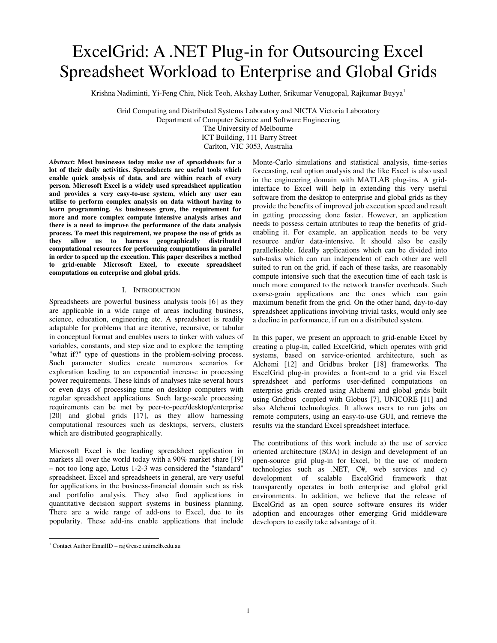# ExcelGrid: A .NET Plug-in for Outsourcing Excel Spreadsheet Workload to Enterprise and Global Grids

Krishna Nadiminti, Yi-Feng Chiu, Nick Teoh, Akshay Luther, Srikumar Venugopal, Rajkumar Buyya<sup>1</sup>

Grid Computing and Distributed Systems Laboratory and NICTA Victoria Laboratory Department of Computer Science and Software Engineering The University of Melbourne ICT Building, 111 Barry Street

Carlton, VIC 3053, Australia

*Abstract***: Most businesses today make use of spreadsheets for a lot of their daily activities. Spreadsheets are useful tools which enable quick analysis of data, and are within reach of every person. Microsoft Excel is a widely used spreadsheet application and provides a very easy-to-use system, which any user can utilise to perform complex analysis on data without having to learn programming. As businesses grow, the requirement for more and more complex compute intensive analysis arises and there is a need to improve the performance of the data analysis process. To meet this requirement, we propose the use of grids as they allow us to harness geographically distributed computational resources for performing computations in parallel in order to speed up the execution. This paper describes a method to grid-enable Microsoft Excel, to execute spreadsheet computations on enterprise and global grids.**

#### I. INTRODUCTION

Spreadsheets are powerful business analysis tools [6] as they are applicable in a wide range of areas including business, science, education, engineering etc. A spreadsheet is readily adaptable for problems that are iterative, recursive, or tabular in conceptual format and enables users to tinker with values of variables, constants, and step size and to explore the tempting "what if?" type of questions in the problem-solving process. Such parameter studies create numerous scenarios for exploration leading to an exponential increase in processing power requirements. These kinds of analyses take several hours or even days of processing time on desktop computers with regular spreadsheet applications. Such large-scale processing requirements can be met by peer-to-peer/desktop/enterprise [20] and global grids [17], as they allow harnessing computational resources such as desktops, servers, clusters which are distributed geographically.

Microsoft Excel is the leading spreadsheet application in markets all over the world today with a 90% market share [19] – not too long ago, Lotus 1-2-3 was considered the "standard" spreadsheet. Excel and spreadsheets in general, are very useful for applications in the business-financial domain such as risk and portfolio analysis. They also find applications in quantitative decision support systems in business planning. There are a wide range of add-ons to Excel, due to its popularity. These add-ins enable applications that include

Monte-Carlo simulations and statistical analysis, time-series forecasting, real option analysis and the like Excel is also used in the engineering domain with MATLAB plug-ins. A gridinterface to Excel will help in extending this very useful software from the desktop to enterprise and global grids as they provide the benefits of improved job execution speed and result in getting processing done faster. However, an application needs to possess certain attributes to reap the benefits of gridenabling it. For example, an application needs to be very resource and/or data-intensive. It should also be easily parallelisable. Ideally applications which can be divided into sub-tasks which can run independent of each other are well suited to run on the grid, if each of these tasks, are reasonably compute intensive such that the execution time of each task is much more compared to the network transfer overheads. Such coarse-grain applications are the ones which can gain maximum benefit from the grid. On the other hand, day-to-day spreadsheet applications involving trivial tasks, would only see a decline in performance, if run on a distributed system.

In this paper, we present an approach to grid-enable Excel by creating a plug-in, called ExcelGrid, which operates with grid systems, based on service-oriented architecture, such as Alchemi [12] and Gridbus broker [18] frameworks. The ExcelGrid plug-in provides a front-end to a grid via Excel spreadsheet and performs user-defined computations on enterprise grids created using Alchemi and global grids built using Gridbus coupled with Globus [7], UNICORE [11] and also Alchemi technologies. It allows users to run jobs on remote computers, using an easy-to-use GUI, and retrieve the results via the standard Excel spreadsheet interface.

The contributions of this work include a) the use of service oriented architecture (SOA) in design and development of an open-source grid plug-in for Excel, b) the use of modern technologies such as .NET, C#, web services and c) development of scalable ExcelGrid framework that transparently operates in both enterprise and global grid environments. In addition, we believe that the release of ExcelGrid as an open source software ensures its wider adoption and encourages other emerging Grid middleware developers to easily take advantage of it.

<sup>1</sup> Contact Author EmailID – raj@csse.unimelb.edu.au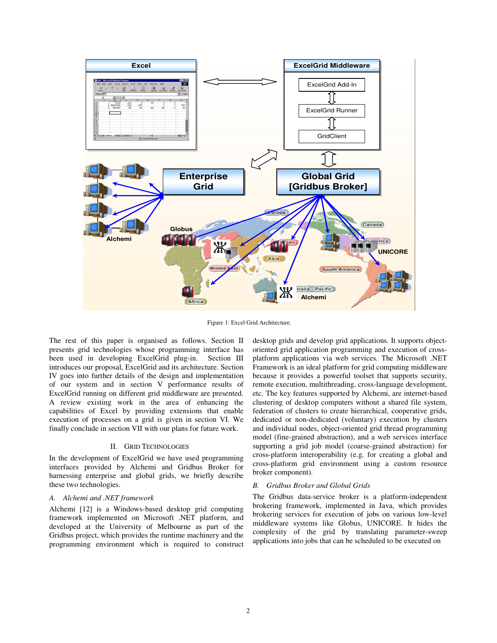

Figure 1: Excel Grid Architecture.

The rest of this paper is organised as follows. Section II presents grid technologies whose programming interface has been used in developing ExcelGrid plug-in. Section III introduces our proposal, ExcelGrid and its architecture. Section IV goes into further details of the design and implementation of our system and in section V performance results of ExcelGrid running on different grid middleware are presented. A review existing work in the area of enhancing the capabilities of Excel by providing extensions that enable execution of processes on a grid is given in section VI. We finally conclude in section VII with our plans for future work.

#### II. GRID TECHNOLOGIES

In the development of ExcelGrid we have used programming interfaces provided by Alchemi and Gridbus Broker for harnessing enterprise and global grids, we briefly describe these two technologies.

### *A. Alchemi and .NET framework*

Alchemi [12] is a Windows-based desktop grid computing framework implemented on Microsoft .NET platform, and developed at the University of Melbourne as part of the Gridbus project, which provides the runtime machinery and the programming environment which is required to construct

desktop grids and develop grid applications. It supports objectoriented grid application programming and execution of crossplatform applications via web services. The Microsoft .NET Framework is an ideal platform for grid computing middleware because it provides a powerful toolset that supports security, remote execution, multithreading, cross-language development, etc. The key features supported by Alchemi, are internet-based clustering of desktop computers without a shared file system, federation of clusters to create hierarchical, cooperative grids, dedicated or non-dedicated (voluntary) execution by clusters and individual nodes, object-oriented grid thread programming model (fine-grained abstraction), and a web services interface supporting a grid job model (coarse-grained abstraction) for cross-platform interoperability (e.g. for creating a global and cross-platform grid environment using a custom resource broker component).

# *B. Gridbus Broker and Global Grids*

The Gridbus data-service broker is a platform-independent brokering framework, implemented in Java, which provides brokering services for execution of jobs on various low-level middleware systems like Globus, UNICORE. It hides the complexity of the grid by translating parameter-sweep applications into jobs that can be scheduled to be executed on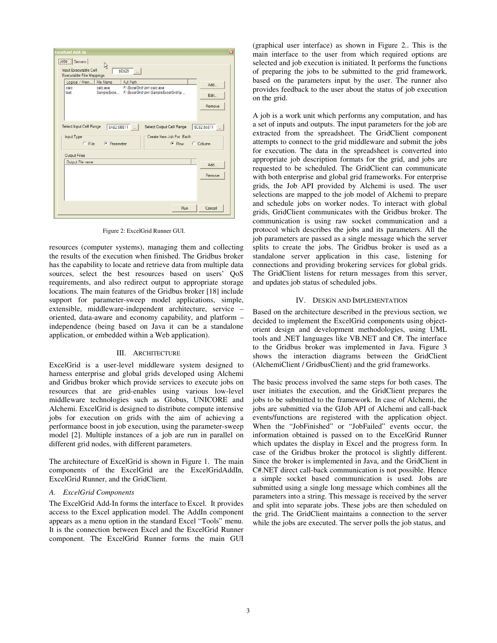| Logical / Frien                                                                                          | Full Path<br>File Name                                             |                                                      | Add                          |
|----------------------------------------------------------------------------------------------------------|--------------------------------------------------------------------|------------------------------------------------------|------------------------------|
| F:\ExcelGrid\bin\calc.exe<br>calc<br>calc exe<br>Sample Exce F:\ExcelGrid\bin\Sample ExcelGridAp<br>test |                                                                    | Edit.                                                |                              |
|                                                                                                          |                                                                    |                                                      |                              |
|                                                                                                          |                                                                    |                                                      | Remove                       |
|                                                                                                          | <b>Select Input Cell Range</b><br>SAS2:SBS11<br>C File G Parameter | Select Output Cell Range<br>Create New Job For Each: | SCS2:ScS11<br>C Row C Column |
|                                                                                                          |                                                                    |                                                      |                              |
| Output File name                                                                                         |                                                                    |                                                      | Add                          |
| Input Type<br>Output Files                                                                               |                                                                    |                                                      | Remove                       |

Figure 2: ExcelGrid Runner GUI.

resources (computer systems), managing them and collecting the results of the execution when finished. The Gridbus broker has the capability to locate and retrieve data from multiple data sources, select the best resources based on users' QoS requirements, and also redirect output to appropriate storage locations. The main features of the Gridbus broker [18] include support for parameter-sweep model applications, simple, extensible, middleware-independent architecture, service – oriented, data-aware and economy capability, and platform – independence (being based on Java it can be a standalone application, or embedded within a Web application).

# III. ARCHITECTURE

ExcelGrid is a user-level middleware system designed to harness enterprise and global grids developed using Alchemi and Gridbus broker which provide services to execute jobs on resources that are grid-enables using various low-level middleware technologies such as Globus, UNICORE and Alchemi. ExcelGrid is designed to distribute compute intensive jobs for execution on grids with the aim of achieving a performance boost in job execution, using the parameter-sweep model [2]. Multiple instances of a job are run in parallel on different grid nodes, with different parameters.

The architecture of ExcelGrid is shown in Figure 1. The main components of the ExcelGrid are the ExcelGridAddIn, ExcelGrid Runner, and the GridClient.

# *A. ExcelGrid Components*

The ExcelGrid Add-In forms the interface to Excel. It provides access to the Excel application model. The AddIn component appears as a menu option in the standard Excel "Tools" menu. It is the connection between Excel and the ExcelGrid Runner component. The ExcelGrid Runner forms the main GUI

(graphical user interface) as shown in Figure 2.. This is the main interface to the user from which required options are selected and job execution is initiated. It performs the functions of preparing the jobs to be submitted to the grid framework, based on the parameters input by the user. The runner also provides feedback to the user about the status of job execution on the grid.

A job is a work unit which performs any computation, and has a set of inputs and outputs. The input parameters for the job are extracted from the spreadsheet. The GridClient component attempts to connect to the grid middleware and submit the jobs for execution. The data in the spreadsheet is converted into appropriate job description formats for the grid, and jobs are requested to be scheduled. The GridClient can communicate with both enterprise and global grid frameworks. For enterprise grids, the Job API provided by Alchemi is used. The user selections are mapped to the job model of Alchemi to prepare and schedule jobs on worker nodes. To interact with global grids, GridClient communicates with the Gridbus broker. The communication is using raw socket communication and a protocol which describes the jobs and its parameters. All the job parameters are passed as a single message which the server splits to create the jobs. The Gridbus broker is used as a standalone server application in this case, listening for connections and providing brokering services for global grids. The GridClient listens for return messages from this server, and updates job status of scheduled jobs.

# IV. DESIGN AND IMPLEMENTATION

Based on the architecture described in the previous section, we decided to implement the ExcelGrid components using objectorient design and development methodologies, using UML tools and .NET languages like VB.NET and C#. The interface to the Gridbus broker was implemented in Java. Figure 3 shows the interaction diagrams between the GridClient (AlchemiClient / GridbusClient) and the grid frameworks.

The basic process involved the same steps for both cases. The user initiates the execution, and the GridClient prepares the jobs to be submitted to the framework. In case of Alchemi, the jobs are submitted via the GJob API of Alchemi and call-back events/functions are registered with the application object. When the "JobFinished" or "JobFailed" events occur, the information obtained is passed on to the ExcelGrid Runner which updates the display in Excel and the progress form. In case of the Gridbus broker the protocol is slightly different. Since the broker is implemented in Java, and the GridClient in C#.NET direct call-back communication is not possible. Hence a simple socket based communication is used. Jobs are submitted using a single long message which combines all the parameters into a string. This message is received by the server and split into separate jobs. These jobs are then scheduled on the grid. The GridClient maintains a connection to the server while the jobs are executed. The server polls the job status, and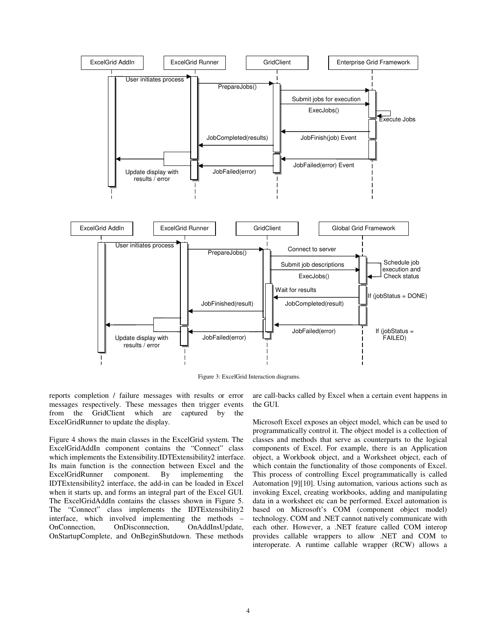

Figure 3: ExcelGrid Interaction diagrams.

reports completion / failure messages with results or error messages respectively. These messages then trigger events from the GridClient which are captured by the ExcelGridRunner to update the display.

Figure 4 shows the main classes in the ExcelGrid system. The ExcelGridAddIn component contains the "Connect" class which implements the Extensibility.IDTExtensibility2 interface. Its main function is the connection between Excel and the ExcelGridRunner component. By implementing the IDTExtensibility2 interface, the add-in can be loaded in Excel when it starts up, and forms an integral part of the Excel GUI. The ExcelGridAddIn contains the classes shown in Figure 5. The "Connect" class implements the IDTExtensibility2 interface, which involved implementing the methods – OnConnection, OnDisconnection, OnAddInsUpdate, OnStartupComplete, and OnBeginShutdown. These methods

are call-backs called by Excel when a certain event happens in the GUI.

Microsoft Excel exposes an object model, which can be used to programmatically control it. The object model is a collection of classes and methods that serve as counterparts to the logical components of Excel. For example, there is an Application object, a Workbook object, and a Worksheet object, each of which contain the functionality of those components of Excel. This process of controlling Excel programmatically is called Automation [9][10]. Using automation, various actions such as invoking Excel, creating workbooks, adding and manipulating data in a worksheet etc can be performed. Excel automation is based on Microsoft's COM (component object model) technology. COM and .NET cannot natively communicate with each other. However, a .NET feature called COM interop provides callable wrappers to allow .NET and COM to interoperate. A runtime callable wrapper (RCW) allows a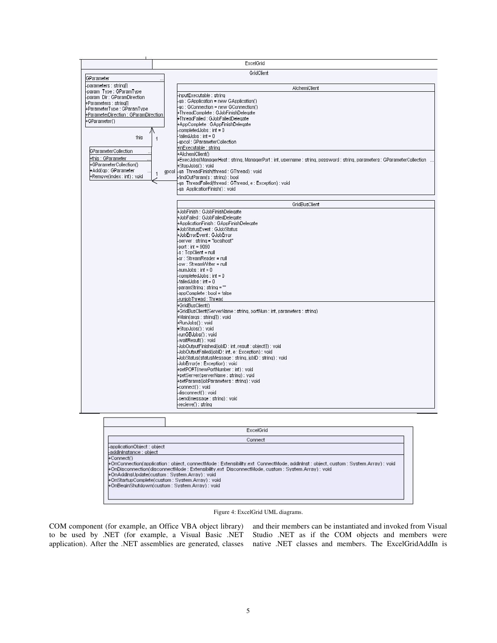

Figure 4: ExcelGrid UML diagrams.

COM component (for example, an Office VBA object library) to be used by .NET (for example, a Visual Basic .NET application). After the .NET assemblies are generated, classes and their members can be instantiated and invoked from Visual Studio .NET as if the COM objects and members were native .NET classes and members. The ExcelGridAddIn is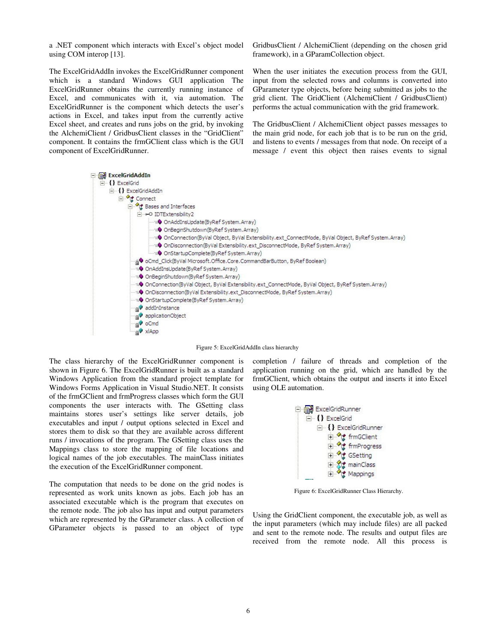a .NET component which interacts with Excel's object model using COM interop [13].

The ExcelGridAddIn invokes the ExcelGridRunner component which is a standard Windows GUI application The ExcelGridRunner obtains the currently running instance of Excel, and communicates with it, via automation. The ExcelGridRunner is the component which detects the user's actions in Excel, and takes input from the currently active Excel sheet, and creates and runs jobs on the grid, by invoking the AlchemiClient / GridbusClient classes in the "GridClient" component. It contains the frmGClient class which is the GUI component of ExcelGridRunner.

GridbusClient / AlchemiClient (depending on the chosen grid framework), in a GParamCollection object.

When the user initiates the execution process from the GUI, input from the selected rows and columns is converted into GParameter type objects, before being submitted as jobs to the grid client. The GridClient (AlchemiClient / GridbusClient) performs the actual communication with the grid framework.

The GridbusClient / AlchemiClient object passes messages to the main grid node, for each job that is to be run on the grid, and listens to events / messages from that node. On receipt of a message / event this object then raises events to signal



Figure 5: ExcelGridAddIn class hierarchy

The class hierarchy of the ExcelGridRunner component is shown in Figure 6. The ExcelGridRunner is built as a standard Windows Application from the standard project template for Windows Forms Application in Visual Studio.NET. It consists of the frmGClient and frmProgress classes which form the GUI components the user interacts with. The GSetting class maintains stores user's settings like server details, job executables and input / output options selected in Excel and stores them to disk so that they are available across different runs / invocations of the program. The GSetting class uses the Mappings class to store the mapping of file locations and logical names of the job executables. The mainClass initiates the execution of the ExcelGridRunner component.

The computation that needs to be done on the grid nodes is represented as work units known as jobs. Each job has an associated executable which is the program that executes on the remote node. The job also has input and output parameters which are represented by the GParameter class. A collection of GParameter objects is passed to an object of type completion / failure of threads and completion of the application running on the grid, which are handled by the frmGClient, which obtains the output and inserts it into Excel using OLE automation.



Figure 6: ExcelGridRunner Class Hierarchy.

Using the GridClient component, the executable job, as well as the input parameters (which may include files) are all packed and sent to the remote node. The results and output files are received from the remote node. All this process is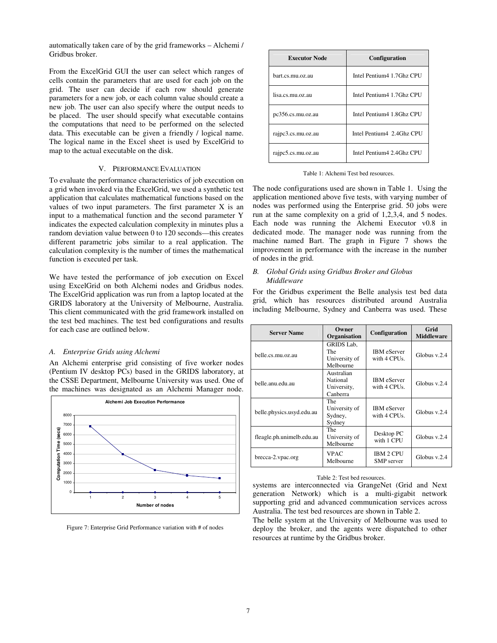automatically taken care of by the grid frameworks – Alchemi / Gridbus broker.

From the ExcelGrid GUI the user can select which ranges of cells contain the parameters that are used for each job on the grid. The user can decide if each row should generate parameters for a new job, or each column value should create a new job. The user can also specify where the output needs to be placed. The user should specify what executable contains the computations that need to be performed on the selected data. This executable can be given a friendly / logical name. The logical name in the Excel sheet is used by ExcelGrid to map to the actual executable on the disk.

# V. PERFORMANCE EVALUATION

To evaluate the performance characteristics of job execution on a grid when invoked via the ExcelGrid, we used a synthetic test application that calculates mathematical functions based on the values of two input parameters. The first parameter X is an input to a mathematical function and the second parameter Y indicates the expected calculation complexity in minutes plus a random deviation value between 0 to 120 seconds—this creates different parametric jobs similar to a real application. The calculation complexity is the number of times the mathematical function is executed per task.

We have tested the performance of job execution on Excel using ExcelGrid on both Alchemi nodes and Gridbus nodes. The ExcelGrid application was run from a laptop located at the GRIDS laboratory at the University of Melbourne, Australia. This client communicated with the grid framework installed on the test bed machines. The test bed configurations and results for each case are outlined below.

# *A. Enterprise Grids using Alchemi*

An Alchemi enterprise grid consisting of five worker nodes (Pentium IV desktop PCs) based in the GRIDS laboratory, at the CSSE Department, Melbourne University was used. One of the machines was designated as an Alchemi Manager node.



Figure 7: Enterprise Grid Performance variation with # of nodes

| <b>Executor Node</b> | <b>Configuration</b>      |  |
|----------------------|---------------------------|--|
| bart.cs.mu.oz.au     | Intel Pentium4 1.7Ghz CPU |  |
| lisa.cs.mu.oz.au     | Intel Pentium4 1.7Ghz CPU |  |
| pc356.cs.mu.oz.au    | Intel Pentium4 1.8Ghz CPU |  |
| rajpc3.cs.mu.oz.au   | Intel Pentium4 2.4Ghz CPU |  |
| rajpc5.cs.mu.oz.au   | Intel Pentium4 2.4Ghz CPU |  |

Table 1: Alchemi Test bed resources.

The node configurations used are shown in Table 1. Using the application mentioned above five tests, with varying number of nodes was performed using the Enterprise grid. 50 jobs were run at the same complexity on a grid of 1,2,3,4, and 5 nodes. Each node was running the Alchemi Executor v0.8 in dedicated mode. The manager node was running from the machine named Bart. The graph in Figure 7 shows the improvement in performance with the increase in the number of nodes in the grid.

# *B. Global Grids using Gridbus Broker and Globus Middleware*

For the Gridbus experiment the Belle analysis test bed data grid, which has resources distributed around Australia including Melbourne, Sydney and Canberra was used. These

| <b>Server Name</b>        | Owner<br>Organisation                                    | Configuration                         | Grid<br><b>Middleware</b> |
|---------------------------|----------------------------------------------------------|---------------------------------------|---------------------------|
| belle.cs.mu.oz.au         | GRIDS Lab,<br>The<br>University of<br>Melbourne          | <b>IBM</b> eServer<br>with 4 CPUs.    | Globus v.2.4              |
| belle.anu.edu.au          | Australian<br><b>National</b><br>University,<br>Canberra | <b>IBM</b> eServer<br>with 4 CPUs.    | Globus v.2.4              |
| belle.physics.usyd.edu.au | The<br>University of<br>Sydney,<br>Sydney                | <b>IBM</b> eServer<br>with 4 CPUs.    | Globus v.2.4              |
| fleagle.ph.unimelb.edu.au | The<br>University of<br>Melbourne                        | Desktop PC<br>with 1 CPU              | Globus v.2.4              |
| brecca-2.ypac.org         | <b>VPAC</b><br>Melbourne                                 | <b>IBM 2 CPU</b><br><b>SMP</b> server | Globus v.2.4              |

#### Table 2: Test bed resources.

systems are interconnected via GrangeNet (Grid and Next generation Network) which is a multi-gigabit network supporting grid and advanced communication services across Australia. The test bed resources are shown in Table 2.

The belle system at the University of Melbourne was used to deploy the broker, and the agents were dispatched to other resources at runtime by the Gridbus broker.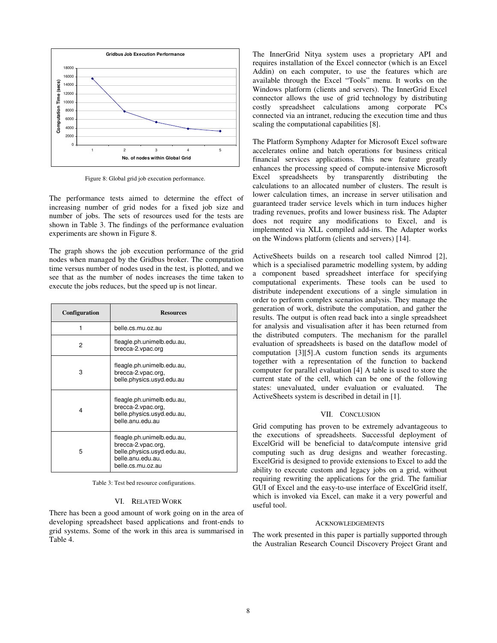

Figure 8: Global grid job execution performance.

The performance tests aimed to determine the effect of increasing number of grid nodes for a fixed job size and number of jobs. The sets of resources used for the tests are shown in Table 3. The findings of the performance evaluation experiments are shown in Figure 8.

The graph shows the job execution performance of the grid nodes when managed by the Gridbus broker. The computation time versus number of nodes used in the test, is plotted, and we see that as the number of nodes increases the time taken to execute the jobs reduces, but the speed up is not linear.

| Configuration | <b>Resources</b>                                                                                                         |
|---------------|--------------------------------------------------------------------------------------------------------------------------|
|               | belle.cs.mu.oz.au                                                                                                        |
| 2             | fleagle.ph.unimelb.edu.au,<br>brecca-2.vpac.org                                                                          |
| 3             | fleagle.ph.unimelb.edu.au,<br>brecca-2.vpac.org,<br>belle.physics.usyd.edu.au                                            |
| 4             | fleagle.ph.unimelb.edu.au,<br>brecca-2.vpac.org,<br>belle.physics.usyd.edu.au,<br>belle.anu.edu.au                       |
| 5             | fleagle.ph.unimelb.edu.au,<br>brecca-2.vpac.org,<br>belle.physics.usyd.edu.au,<br>belle.anu.edu.au,<br>belle.cs.mu.oz.au |

Table 3: Test bed resource configurations.

#### VI. RELATED WORK

There has been a good amount of work going on in the area of developing spreadsheet based applications and front-ends to grid systems. Some of the work in this area is summarised in Table 4.

The InnerGrid Nitya system uses a proprietary API and requires installation of the Excel connector (which is an Excel Addin) on each computer, to use the features which are available through the Excel "Tools" menu. It works on the Windows platform (clients and servers). The InnerGrid Excel connector allows the use of grid technology by distributing costly spreadsheet calculations among corporate PCs connected via an intranet, reducing the execution time and thus scaling the computational capabilities [8].

The Platform Symphony Adapter for Microsoft Excel software accelerates online and batch operations for business critical financial services applications. This new feature greatly enhances the processing speed of compute-intensive Microsoft Excel spreadsheets by transparently distributing the calculations to an allocated number of clusters. The result is lower calculation times, an increase in server utilisation and guaranteed trader service levels which in turn induces higher trading revenues, profits and lower business risk. The Adapter does not require any modifications to Excel, and is implemented via XLL compiled add-ins. The Adapter works on the Windows platform (clients and servers) [14].

ActiveSheets builds on a research tool called Nimrod [2], which is a specialised parametric modelling system, by adding a component based spreadsheet interface for specifying computational experiments. These tools can be used to distribute independent executions of a single simulation in order to perform complex scenarios analysis. They manage the generation of work, distribute the computation, and gather the results. The output is often read back into a single spreadsheet for analysis and visualisation after it has been returned from the distributed computers. The mechanism for the parallel evaluation of spreadsheets is based on the dataflow model of computation [3][5].A custom function sends its arguments together with a representation of the function to backend computer for parallel evaluation [4] A table is used to store the current state of the cell, which can be one of the following states: unevaluated, under evaluation or evaluated. The ActiveSheets system is described in detail in [1].

# VII. CONCLUSION

Grid computing has proven to be extremely advantageous to the executions of spreadsheets. Successful deployment of ExcelGrid will be beneficial to data/compute intensive grid computing such as drug designs and weather forecasting. ExcelGrid is designed to provide extensions to Excel to add the ability to execute custom and legacy jobs on a grid, without requiring rewriting the applications for the grid. The familiar GUI of Excel and the easy-to-use interface of ExcelGrid itself, which is invoked via Excel, can make it a very powerful and useful tool.

# ACKNOWLEDGEMENTS

The work presented in this paper is partially supported through the Australian Research Council Discovery Project Grant and